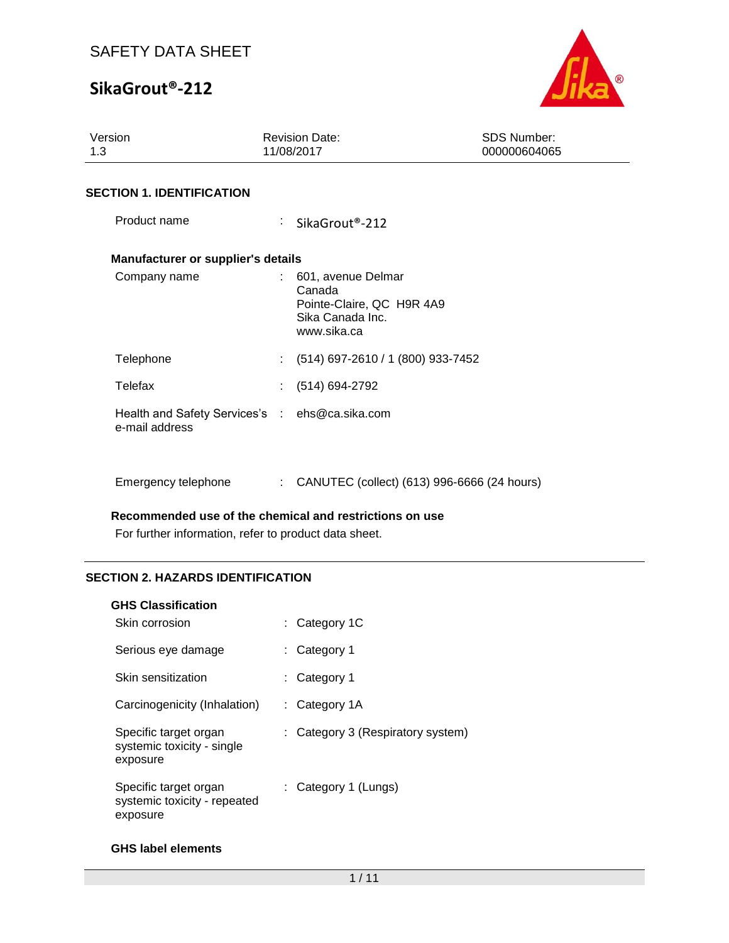# **SikaGrout®-212**



| Version<br>1.3                                                   | <b>Revision Date:</b><br>11/08/2017                                                            | <b>SDS Number:</b><br>000000604065 |
|------------------------------------------------------------------|------------------------------------------------------------------------------------------------|------------------------------------|
| <b>SECTION 1. IDENTIFICATION</b>                                 |                                                                                                |                                    |
| Product name                                                     | SikaGrout <sup>®</sup> -212                                                                    |                                    |
| <b>Manufacturer or supplier's details</b>                        |                                                                                                |                                    |
| Company name                                                     | : 601, avenue Delmar<br>Canada<br>Pointe-Claire, QC H9R 4A9<br>Sika Canada Inc.<br>www.sika.ca |                                    |
| Telephone                                                        | (514) 697-2610 / 1 (800) 933-7452                                                              |                                    |
| Telefax                                                          | (514) 694-2792                                                                                 |                                    |
| Health and Safety Services's : ehs@ca.sika.com<br>e-mail address |                                                                                                |                                    |
| Emergency telephone                                              | CANUTEC (collect) (613) 996-6666 (24 hours)<br>÷                                               |                                    |

**Recommended use of the chemical and restrictions on use**

For further information, refer to product data sheet.

### **SECTION 2. HAZARDS IDENTIFICATION**

#### **GHS Classification**

| Skin corrosion                                                    | $:$ Category 1C                   |
|-------------------------------------------------------------------|-----------------------------------|
| Serious eye damage                                                | : Category 1                      |
| Skin sensitization                                                | : Category 1                      |
| Carcinogenicity (Inhalation)                                      | : Category $1A$                   |
| Specific target organ<br>systemic toxicity - single<br>exposure   | : Category 3 (Respiratory system) |
| Specific target organ<br>systemic toxicity - repeated<br>exposure | : Category 1 (Lungs)              |

### **GHS label elements**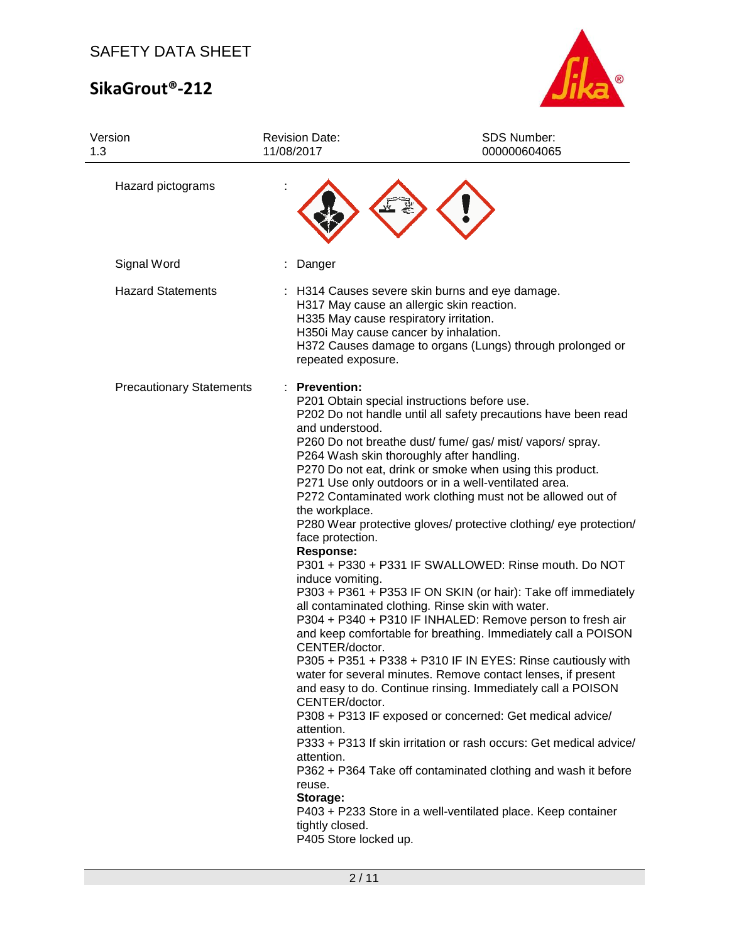# **SikaGrout®-212**



| Version<br>1.3                  | <b>Revision Date:</b><br>11/08/2017                                                                                                                                                                                                                   | SDS Number:<br>000000604065                                                                                                                                                                                                                                                                                                                                                                                                                                                                                                                                                                                                                                                                                                                                                                                                                                                                                                                                                                                                                                                                                                                                                                                                                                  |
|---------------------------------|-------------------------------------------------------------------------------------------------------------------------------------------------------------------------------------------------------------------------------------------------------|--------------------------------------------------------------------------------------------------------------------------------------------------------------------------------------------------------------------------------------------------------------------------------------------------------------------------------------------------------------------------------------------------------------------------------------------------------------------------------------------------------------------------------------------------------------------------------------------------------------------------------------------------------------------------------------------------------------------------------------------------------------------------------------------------------------------------------------------------------------------------------------------------------------------------------------------------------------------------------------------------------------------------------------------------------------------------------------------------------------------------------------------------------------------------------------------------------------------------------------------------------------|
| Hazard pictograms               |                                                                                                                                                                                                                                                       |                                                                                                                                                                                                                                                                                                                                                                                                                                                                                                                                                                                                                                                                                                                                                                                                                                                                                                                                                                                                                                                                                                                                                                                                                                                              |
| Signal Word                     | Danger                                                                                                                                                                                                                                                |                                                                                                                                                                                                                                                                                                                                                                                                                                                                                                                                                                                                                                                                                                                                                                                                                                                                                                                                                                                                                                                                                                                                                                                                                                                              |
| <b>Hazard Statements</b>        | H335 May cause respiratory irritation.<br>H350i May cause cancer by inhalation.<br>repeated exposure.                                                                                                                                                 | : H314 Causes severe skin burns and eye damage.<br>H317 May cause an allergic skin reaction.<br>H372 Causes damage to organs (Lungs) through prolonged or                                                                                                                                                                                                                                                                                                                                                                                                                                                                                                                                                                                                                                                                                                                                                                                                                                                                                                                                                                                                                                                                                                    |
| <b>Precautionary Statements</b> | <b>Prevention:</b><br>and understood.<br>the workplace.<br>face protection.<br><b>Response:</b><br>induce vomiting.<br>CENTER/doctor.<br>CENTER/doctor.<br>attention.<br>attention.<br>reuse.<br>Storage:<br>tightly closed.<br>P405 Store locked up. | P201 Obtain special instructions before use.<br>P202 Do not handle until all safety precautions have been read<br>P260 Do not breathe dust/ fume/ gas/ mist/ vapors/ spray.<br>P264 Wash skin thoroughly after handling.<br>P270 Do not eat, drink or smoke when using this product.<br>P271 Use only outdoors or in a well-ventilated area.<br>P272 Contaminated work clothing must not be allowed out of<br>P280 Wear protective gloves/ protective clothing/ eye protection/<br>P301 + P330 + P331 IF SWALLOWED: Rinse mouth. Do NOT<br>P303 + P361 + P353 IF ON SKIN (or hair): Take off immediately<br>all contaminated clothing. Rinse skin with water.<br>P304 + P340 + P310 IF INHALED: Remove person to fresh air<br>and keep comfortable for breathing. Immediately call a POISON<br>P305 + P351 + P338 + P310 IF IN EYES: Rinse cautiously with<br>water for several minutes. Remove contact lenses, if present<br>and easy to do. Continue rinsing. Immediately call a POISON<br>P308 + P313 IF exposed or concerned: Get medical advice/<br>P333 + P313 If skin irritation or rash occurs: Get medical advice/<br>P362 + P364 Take off contaminated clothing and wash it before<br>P403 + P233 Store in a well-ventilated place. Keep container |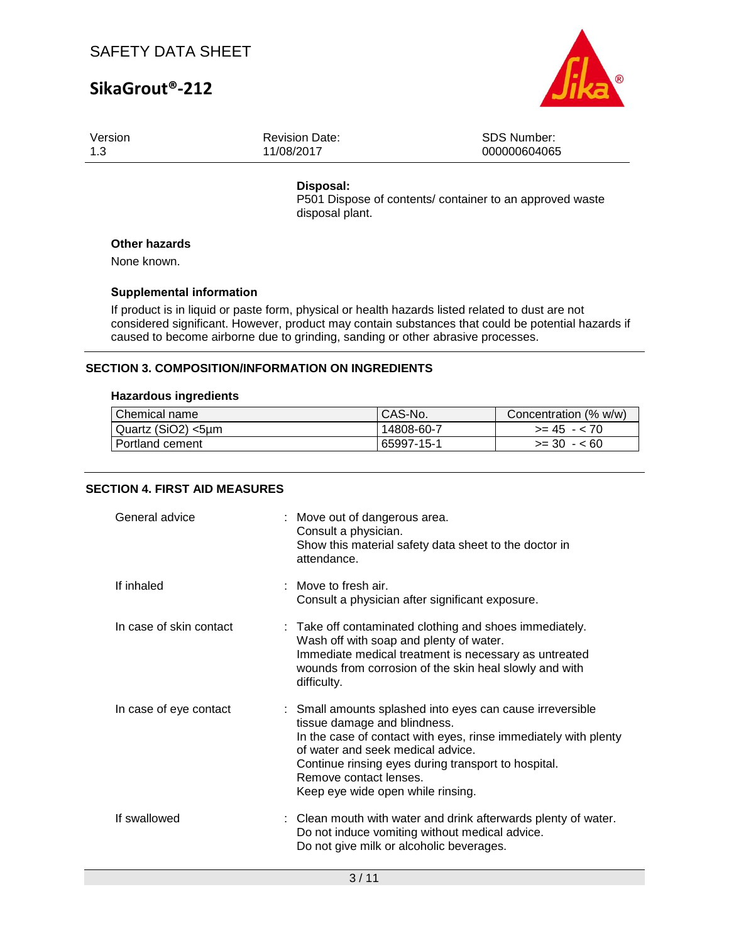# **SikaGrout®-212**



| Version | <b>Revision Date:</b> | <b>SDS Number:</b> |
|---------|-----------------------|--------------------|
| 1.3     | 11/08/2017            | 000000604065       |
|         |                       |                    |

#### **Disposal:**

P501 Dispose of contents/ container to an approved waste disposal plant.

### **Other hazards**

None known.

#### **Supplemental information**

If product is in liquid or paste form, physical or health hazards listed related to dust are not considered significant. However, product may contain substances that could be potential hazards if caused to become airborne due to grinding, sanding or other abrasive processes.

### **SECTION 3. COMPOSITION/INFORMATION ON INGREDIENTS**

#### **Hazardous ingredients**

| Chemical name      | CAS-No.    | Concentration (% w/w) |
|--------------------|------------|-----------------------|
| Quartz (SiO2) <5µm | 14808-60-7 | $>= 45 - 70$          |
| l Portland cement  | 65997-15-1 | $>= 30 - 60$          |

### **SECTION 4. FIRST AID MEASURES**

| General advice          | : Move out of dangerous area.<br>Consult a physician.<br>Show this material safety data sheet to the doctor in<br>attendance.                                                                                                                                                                                           |
|-------------------------|-------------------------------------------------------------------------------------------------------------------------------------------------------------------------------------------------------------------------------------------------------------------------------------------------------------------------|
| If inhaled              | : Move to fresh air.<br>Consult a physician after significant exposure.                                                                                                                                                                                                                                                 |
| In case of skin contact | : Take off contaminated clothing and shoes immediately.<br>Wash off with soap and plenty of water.<br>Immediate medical treatment is necessary as untreated<br>wounds from corrosion of the skin heal slowly and with<br>difficulty.                                                                                    |
| In case of eye contact  | : Small amounts splashed into eyes can cause irreversible<br>tissue damage and blindness.<br>In the case of contact with eyes, rinse immediately with plenty<br>of water and seek medical advice.<br>Continue rinsing eyes during transport to hospital.<br>Remove contact lenses.<br>Keep eye wide open while rinsing. |
| If swallowed            | : Clean mouth with water and drink afterwards plenty of water.<br>Do not induce vomiting without medical advice.<br>Do not give milk or alcoholic beverages.                                                                                                                                                            |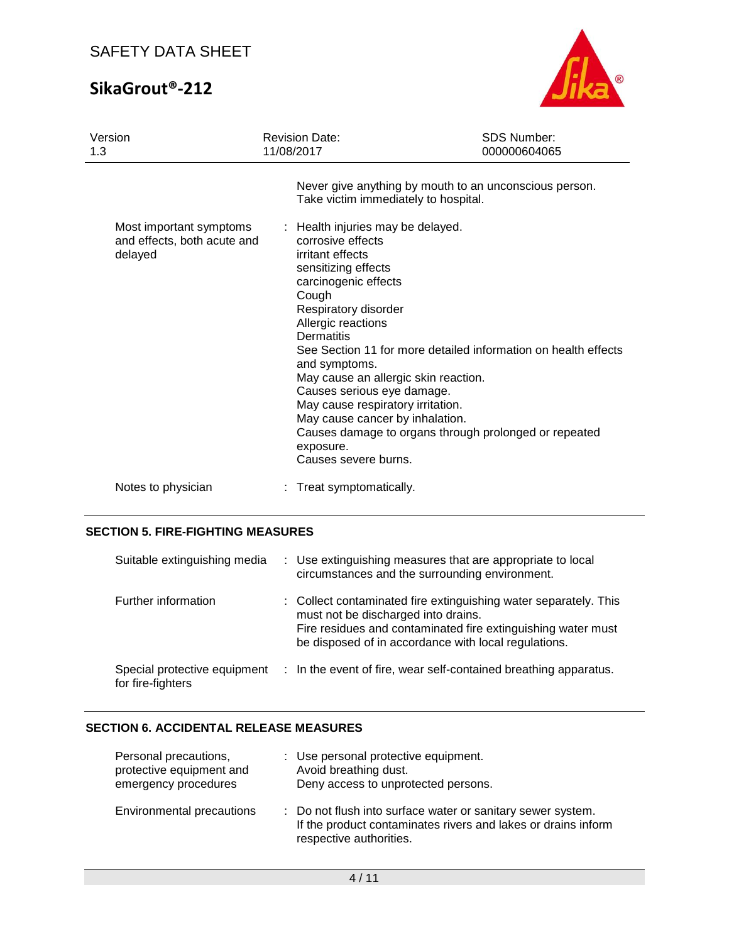# **SikaGrout®-212**



| Version<br>1.3                                                    | <b>Revision Date:</b><br>11/08/2017                                                                                                                                                                                                                                                                                                                                                                | <b>SDS Number:</b><br>000000604065                                                                                      |
|-------------------------------------------------------------------|----------------------------------------------------------------------------------------------------------------------------------------------------------------------------------------------------------------------------------------------------------------------------------------------------------------------------------------------------------------------------------------------------|-------------------------------------------------------------------------------------------------------------------------|
|                                                                   | Take victim immediately to hospital.                                                                                                                                                                                                                                                                                                                                                               | Never give anything by mouth to an unconscious person.                                                                  |
| Most important symptoms<br>and effects, both acute and<br>delayed | : Health injuries may be delayed.<br>corrosive effects<br>irritant effects<br>sensitizing effects<br>carcinogenic effects<br>Cough<br>Respiratory disorder<br>Allergic reactions<br>Dermatitis<br>and symptoms.<br>May cause an allergic skin reaction.<br>Causes serious eye damage.<br>May cause respiratory irritation.<br>May cause cancer by inhalation.<br>exposure.<br>Causes severe burns. | See Section 11 for more detailed information on health effects<br>Causes damage to organs through prolonged or repeated |
| Notes to physician                                                | : Treat symptomatically.                                                                                                                                                                                                                                                                                                                                                                           |                                                                                                                         |

### **SECTION 5. FIRE-FIGHTING MEASURES**

| Suitable extinguishing media                      | : Use extinguishing measures that are appropriate to local<br>circumstances and the surrounding environment.                                                                                                                    |
|---------------------------------------------------|---------------------------------------------------------------------------------------------------------------------------------------------------------------------------------------------------------------------------------|
| Further information                               | : Collect contaminated fire extinguishing water separately. This<br>must not be discharged into drains.<br>Fire residues and contaminated fire extinguishing water must<br>be disposed of in accordance with local regulations. |
| Special protective equipment<br>for fire-fighters | : In the event of fire, wear self-contained breathing apparatus.                                                                                                                                                                |

### **SECTION 6. ACCIDENTAL RELEASE MEASURES**

| Personal precautions,<br>protective equipment and<br>emergency procedures | : Use personal protective equipment.<br>Avoid breathing dust.<br>Deny access to unprotected persons.                                                    |
|---------------------------------------------------------------------------|---------------------------------------------------------------------------------------------------------------------------------------------------------|
| Environmental precautions                                                 | : Do not flush into surface water or sanitary sewer system.<br>If the product contaminates rivers and lakes or drains inform<br>respective authorities. |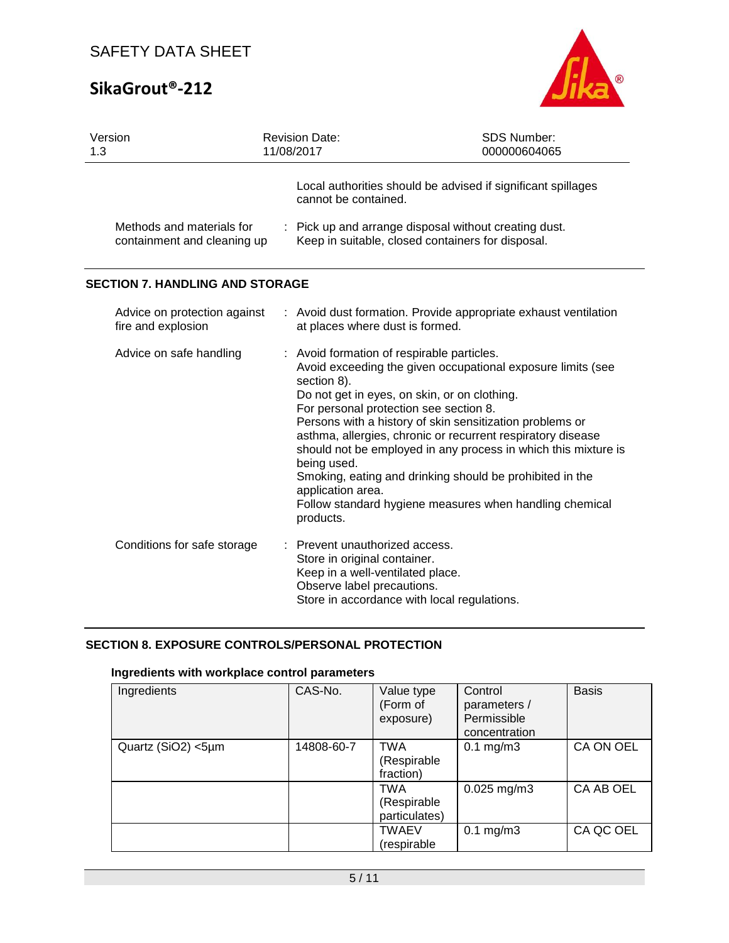# **SikaGrout®-212**



| 1.3 | Version                                                  | <b>Revision Date:</b><br>11/08/2017                                                                                                                                                                  | <b>SDS Number:</b><br>000000604065                                                                                                                                                                                                                                                                                                                                              |
|-----|----------------------------------------------------------|------------------------------------------------------------------------------------------------------------------------------------------------------------------------------------------------------|---------------------------------------------------------------------------------------------------------------------------------------------------------------------------------------------------------------------------------------------------------------------------------------------------------------------------------------------------------------------------------|
|     |                                                          | cannot be contained.                                                                                                                                                                                 | Local authorities should be advised if significant spillages                                                                                                                                                                                                                                                                                                                    |
|     | Methods and materials for<br>containment and cleaning up |                                                                                                                                                                                                      | : Pick up and arrange disposal without creating dust.<br>Keep in suitable, closed containers for disposal.                                                                                                                                                                                                                                                                      |
|     | <b>SECTION 7. HANDLING AND STORAGE</b>                   |                                                                                                                                                                                                      |                                                                                                                                                                                                                                                                                                                                                                                 |
|     | Advice on protection against<br>fire and explosion       | at places where dust is formed.                                                                                                                                                                      | : Avoid dust formation. Provide appropriate exhaust ventilation                                                                                                                                                                                                                                                                                                                 |
|     | Advice on safe handling                                  | : Avoid formation of respirable particles.<br>section 8).<br>Do not get in eyes, on skin, or on clothing.<br>For personal protection see section 8.<br>being used.<br>application area.<br>products. | Avoid exceeding the given occupational exposure limits (see<br>Persons with a history of skin sensitization problems or<br>asthma, allergies, chronic or recurrent respiratory disease<br>should not be employed in any process in which this mixture is<br>Smoking, eating and drinking should be prohibited in the<br>Follow standard hygiene measures when handling chemical |
|     | Conditions for safe storage                              | Prevent unauthorized access.<br>Store in original container.<br>Keep in a well-ventilated place.<br>Observe label precautions.<br>Store in accordance with local regulations.                        |                                                                                                                                                                                                                                                                                                                                                                                 |

### **SECTION 8. EXPOSURE CONTROLS/PERSONAL PROTECTION**

## **Ingredients with workplace control parameters**

| Ingredients        | CAS-No.    | Value type<br>(Form of<br>exposure)        | Control<br>parameters /<br>Permissible<br>concentration | <b>Basis</b> |
|--------------------|------------|--------------------------------------------|---------------------------------------------------------|--------------|
| Quartz (SiO2) <5µm | 14808-60-7 | <b>TWA</b><br>(Respirable<br>fraction)     | $0.1$ mg/m $3$                                          | CA ON OEL    |
|                    |            | <b>TWA</b><br>(Respirable<br>particulates) | $0.025$ mg/m3                                           | CA AB OEL    |
|                    |            | <b>TWAEV</b><br>(respirable                | $0.1 \text{ mg/m}$ 3                                    | CA QC OEL    |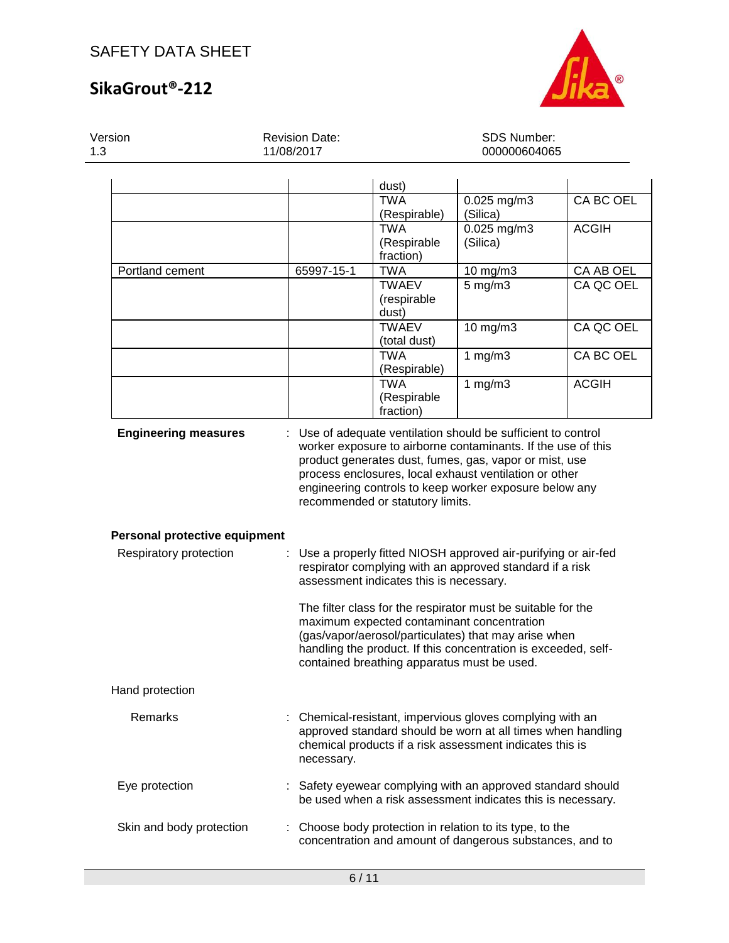# **SikaGrout®-212**



| Version<br>1.3           |                               | <b>Revision Date:</b><br>11/08/2017 | <b>SDS Number:</b><br>000000604065          |                                                                                                                                                                                                                                      |              |  |
|--------------------------|-------------------------------|-------------------------------------|---------------------------------------------|--------------------------------------------------------------------------------------------------------------------------------------------------------------------------------------------------------------------------------------|--------------|--|
|                          |                               |                                     | dust)                                       |                                                                                                                                                                                                                                      |              |  |
|                          |                               |                                     | <b>TWA</b>                                  | 0.025 mg/m3                                                                                                                                                                                                                          | CA BC OEL    |  |
|                          |                               |                                     | (Respirable)                                | (Silica)                                                                                                                                                                                                                             |              |  |
|                          |                               |                                     | <b>TWA</b>                                  | 0.025 mg/m3                                                                                                                                                                                                                          | <b>ACGIH</b> |  |
|                          |                               |                                     | (Respirable                                 | (Silica)                                                                                                                                                                                                                             |              |  |
|                          |                               |                                     | fraction)                                   |                                                                                                                                                                                                                                      |              |  |
| Portland cement          |                               | 65997-15-1                          | <b>TWA</b>                                  | 10 mg/m3                                                                                                                                                                                                                             | CA AB OEL    |  |
|                          |                               |                                     | <b>TWAEV</b>                                | $5$ mg/m $3$                                                                                                                                                                                                                         | CA QC OEL    |  |
|                          |                               |                                     | (respirable                                 |                                                                                                                                                                                                                                      |              |  |
|                          |                               |                                     | dust)<br><b>TWAEV</b>                       | $10$ mg/m $3$                                                                                                                                                                                                                        | CA QC OEL    |  |
|                          |                               |                                     | (total dust)                                |                                                                                                                                                                                                                                      |              |  |
|                          |                               |                                     | <b>TWA</b>                                  | 1 $mg/m3$                                                                                                                                                                                                                            | CA BC OEL    |  |
|                          |                               |                                     | (Respirable)                                |                                                                                                                                                                                                                                      |              |  |
|                          |                               |                                     | <b>TWA</b>                                  | 1 $mg/m3$                                                                                                                                                                                                                            | <b>ACGIH</b> |  |
|                          |                               |                                     | (Respirable                                 |                                                                                                                                                                                                                                      |              |  |
|                          |                               |                                     | fraction)                                   |                                                                                                                                                                                                                                      |              |  |
|                          |                               |                                     | recommended or statutory limits.            | process enclosures, local exhaust ventilation or other<br>engineering controls to keep worker exposure below any                                                                                                                     |              |  |
|                          | Personal protective equipment |                                     |                                             |                                                                                                                                                                                                                                      |              |  |
| Respiratory protection   |                               |                                     | assessment indicates this is necessary.     | Use a properly fitted NIOSH approved air-purifying or air-fed<br>respirator complying with an approved standard if a risk                                                                                                            |              |  |
|                          |                               |                                     | contained breathing apparatus must be used. | The filter class for the respirator must be suitable for the<br>maximum expected contaminant concentration<br>(gas/vapor/aerosol/particulates) that may arise when<br>handling the product. If this concentration is exceeded, self- |              |  |
| Hand protection          |                               |                                     |                                             |                                                                                                                                                                                                                                      |              |  |
| Remarks                  |                               | necessary.                          |                                             | : Chemical-resistant, impervious gloves complying with an<br>approved standard should be worn at all times when handling<br>chemical products if a risk assessment indicates this is                                                 |              |  |
| Eye protection           |                               |                                     |                                             | Safety eyewear complying with an approved standard should<br>be used when a risk assessment indicates this is necessary.                                                                                                             |              |  |
| Skin and body protection |                               |                                     |                                             | Choose body protection in relation to its type, to the<br>concentration and amount of dangerous substances, and to                                                                                                                   |              |  |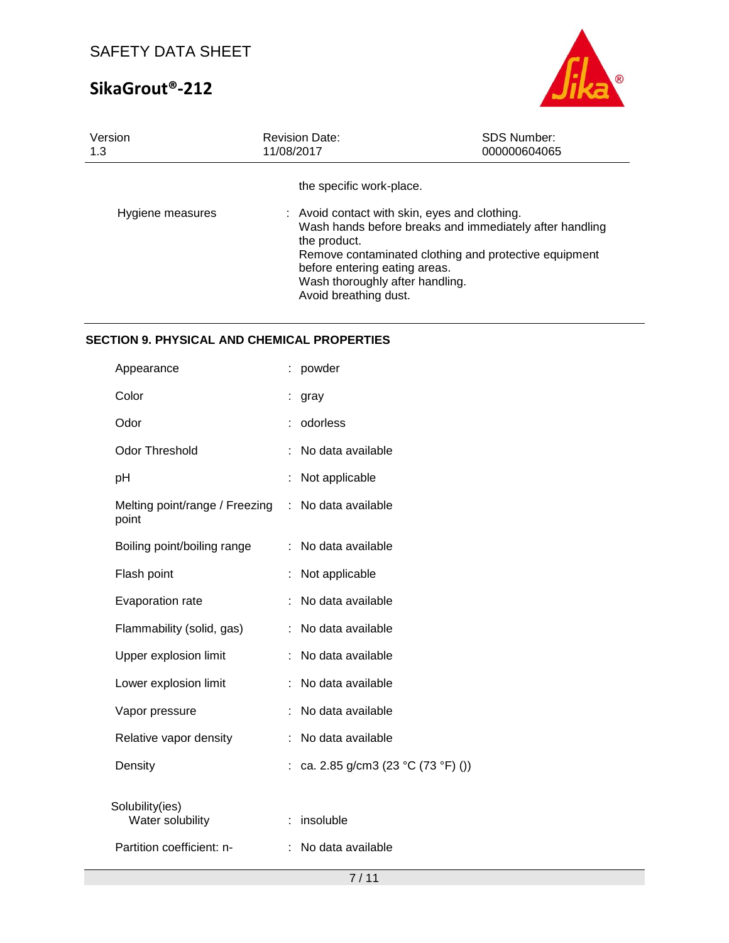# **SikaGrout®-212**



| Version          | <b>Revision Date:</b>                                                                                                                                                                                                                                                                                      | <b>SDS Number:</b> |
|------------------|------------------------------------------------------------------------------------------------------------------------------------------------------------------------------------------------------------------------------------------------------------------------------------------------------------|--------------------|
| 1.3              | 11/08/2017                                                                                                                                                                                                                                                                                                 | 000000604065       |
| Hygiene measures | the specific work-place.<br>: Avoid contact with skin, eyes and clothing.<br>Wash hands before breaks and immediately after handling<br>the product.<br>Remove contaminated clothing and protective equipment<br>before entering eating areas.<br>Wash thoroughly after handling.<br>Avoid breathing dust. |                    |

# **SECTION 9. PHYSICAL AND CHEMICAL PROPERTIES**

| Appearance                              |   | powder                            |
|-----------------------------------------|---|-----------------------------------|
| Color                                   |   | gray                              |
| Odor                                    |   | odorless                          |
| <b>Odor Threshold</b>                   |   | No data available                 |
| рH                                      |   | Not applicable                    |
| Melting point/range / Freezing<br>point | ÷ | No data available                 |
| Boiling point/boiling range             |   | No data available                 |
| Flash point                             |   | Not applicable                    |
| Evaporation rate                        |   | No data available                 |
| Flammability (solid, gas)               |   | No data available                 |
| Upper explosion limit                   |   | No data available                 |
| Lower explosion limit                   |   | No data available                 |
| Vapor pressure                          |   | No data available                 |
| Relative vapor density                  |   | No data available                 |
| Density                                 |   | ca. 2.85 g/cm3 (23 °C (73 °F) ()) |
| Solubility(ies)<br>Water solubility     |   | insoluble                         |
| Partition coefficient: n-               |   | No data available                 |
|                                         |   |                                   |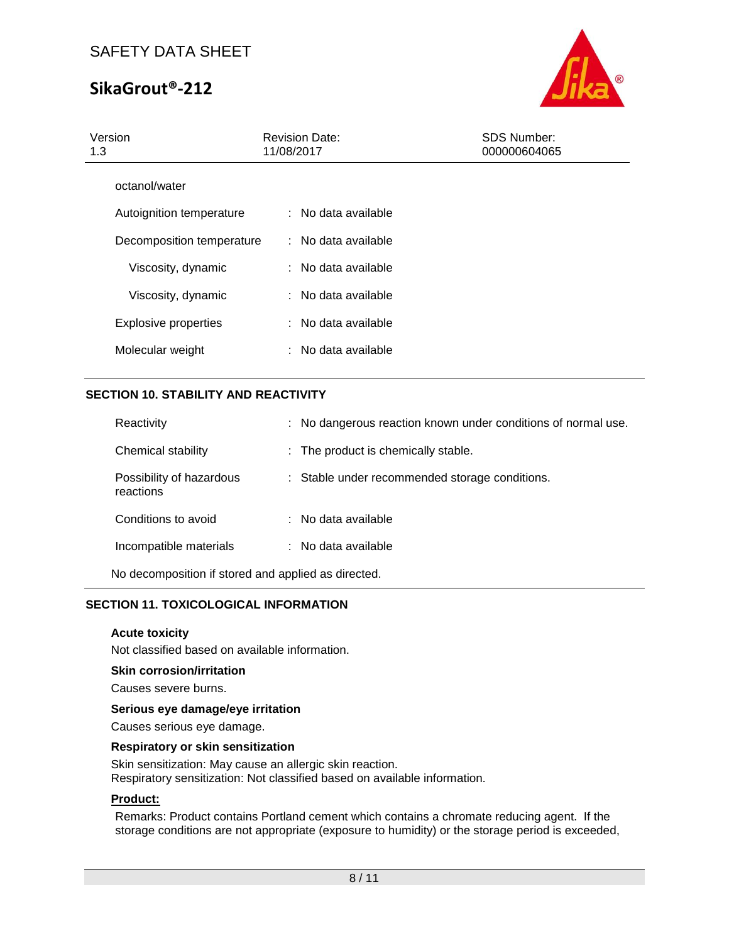# **SikaGrout®-212**



| Version<br>1.3              | <b>Revision Date:</b><br>11/08/2017 | <b>SDS Number:</b><br>000000604065 |  |
|-----------------------------|-------------------------------------|------------------------------------|--|
| octanol/water               |                                     |                                    |  |
| Autoignition temperature    | : No data available                 |                                    |  |
| Decomposition temperature   | : No data available                 |                                    |  |
| Viscosity, dynamic          | : No data available                 |                                    |  |
| Viscosity, dynamic          | $:$ No data available               |                                    |  |
| <b>Explosive properties</b> | : No data available                 |                                    |  |
| Molecular weight            | $:$ No data available               |                                    |  |
|                             |                                     |                                    |  |

### **SECTION 10. STABILITY AND REACTIVITY**

| Reactivity                            | : No dangerous reaction known under conditions of normal use. |
|---------------------------------------|---------------------------------------------------------------|
| Chemical stability                    | : The product is chemically stable.                           |
| Possibility of hazardous<br>reactions | : Stable under recommended storage conditions.                |
| Conditions to avoid                   | : No data available                                           |
| Incompatible materials                | : No data available                                           |
|                                       |                                                               |

No decomposition if stored and applied as directed.

### **SECTION 11. TOXICOLOGICAL INFORMATION**

#### **Acute toxicity**

Not classified based on available information.

#### **Skin corrosion/irritation**

Causes severe burns.

### **Serious eye damage/eye irritation**

Causes serious eye damage.

### **Respiratory or skin sensitization**

Skin sensitization: May cause an allergic skin reaction. Respiratory sensitization: Not classified based on available information.

### **Product:**

Remarks: Product contains Portland cement which contains a chromate reducing agent. If the storage conditions are not appropriate (exposure to humidity) or the storage period is exceeded,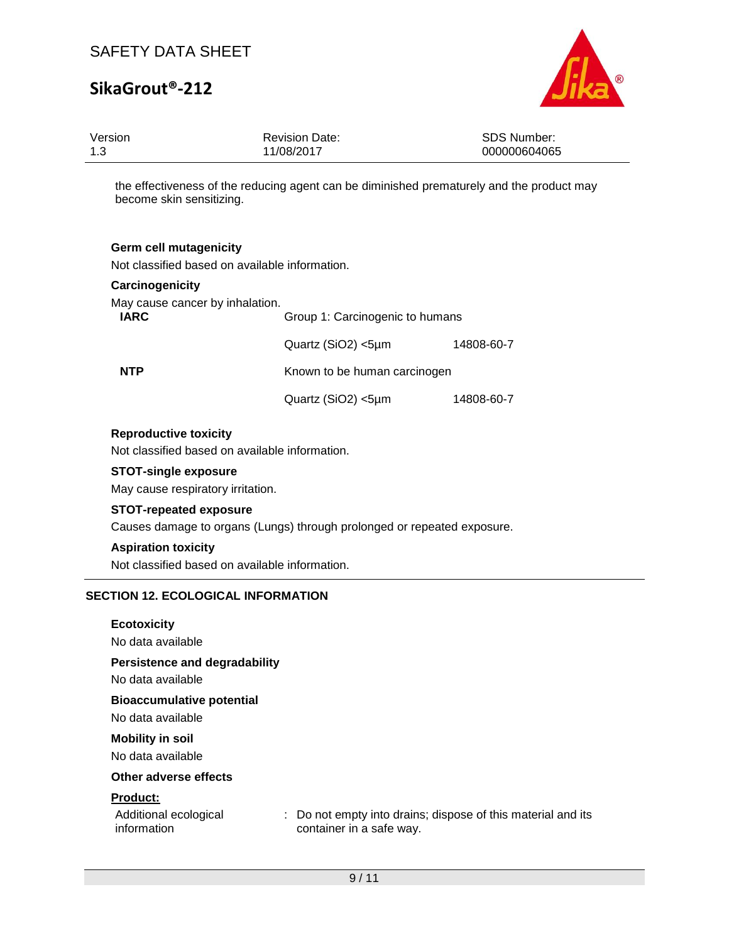# **SikaGrout®-212**



| Version<br>1.3                                                                  | <b>Revision Date:</b><br>11/08/2017 | <b>SDS Number:</b><br>000000604065                                                        |
|---------------------------------------------------------------------------------|-------------------------------------|-------------------------------------------------------------------------------------------|
| become skin sensitizing.                                                        |                                     | the effectiveness of the reducing agent can be diminished prematurely and the product may |
| <b>Germ cell mutagenicity</b><br>Not classified based on available information. |                                     |                                                                                           |
| Carcinogenicity                                                                 |                                     |                                                                                           |
| May cause cancer by inhalation.<br><b>IARC</b>                                  | Group 1: Carcinogenic to humans     |                                                                                           |
|                                                                                 |                                     |                                                                                           |
|                                                                                 | Quartz (SiO2) <5µm                  | 14808-60-7                                                                                |
| <b>NTP</b>                                                                      | Known to be human carcinogen        |                                                                                           |
|                                                                                 | Quartz (SiO2) <5µm                  | 14808-60-7                                                                                |
| <b>Reproductive toxicity</b><br>Not classified based on available information.  |                                     |                                                                                           |
| <b>STOT-single exposure</b><br>May cause respiratory irritation.                |                                     |                                                                                           |
| <b>STOT-repeated exposure</b>                                                   |                                     |                                                                                           |
| Causes damage to organs (Lungs) through prolonged or repeated exposure.         |                                     |                                                                                           |
| <b>Aspiration toxicity</b><br>Not classified based on available information.    |                                     |                                                                                           |
|                                                                                 |                                     |                                                                                           |
| <b>SECTION 12. ECOLOGICAL INFORMATION</b>                                       |                                     |                                                                                           |
| <b>Ecotoxicity</b>                                                              |                                     |                                                                                           |
| No data available                                                               |                                     |                                                                                           |
| <b>Persistence and degradability</b><br>No data available                       |                                     |                                                                                           |
| <b>Bioaccumulative potential</b><br>No data available                           |                                     |                                                                                           |

### **Mobility in soil**

No data available

### **Other adverse effects**

### **Product:**

| Additional ecological | : Do not empty into drains; dispose of this material and its |
|-----------------------|--------------------------------------------------------------|
| information           | container in a safe way.                                     |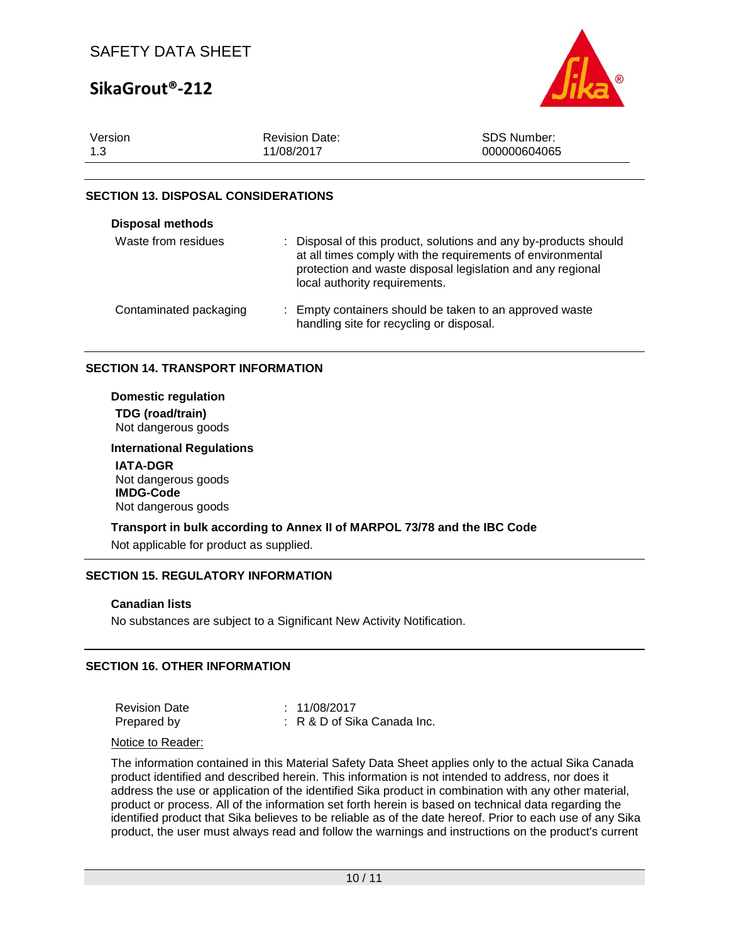# **SikaGrout®-212**



| Version | <b>Revision Date:</b> | <b>SDS Number:</b> |
|---------|-----------------------|--------------------|
| 1.3     | 11/08/2017            | 000000604065       |

### **SECTION 13. DISPOSAL CONSIDERATIONS**

| <b>Disposal methods</b> |                                                                                                                                                                                                                               |
|-------------------------|-------------------------------------------------------------------------------------------------------------------------------------------------------------------------------------------------------------------------------|
| Waste from residues     | : Disposal of this product, solutions and any by-products should<br>at all times comply with the requirements of environmental<br>protection and waste disposal legislation and any regional<br>local authority requirements. |
| Contaminated packaging  | : Empty containers should be taken to an approved waste<br>handling site for recycling or disposal.                                                                                                                           |

### **SECTION 14. TRANSPORT INFORMATION**

**Domestic regulation TDG (road/train)** Not dangerous goods

## **International Regulations**

**IATA-DGR** Not dangerous goods **IMDG-Code** Not dangerous goods

### **Transport in bulk according to Annex II of MARPOL 73/78 and the IBC Code**

Not applicable for product as supplied.

### **SECTION 15. REGULATORY INFORMATION**

#### **Canadian lists**

No substances are subject to a Significant New Activity Notification.

### **SECTION 16. OTHER INFORMATION**

| <b>Revision Date</b> | : 11/08/2017                  |
|----------------------|-------------------------------|
| Prepared by          | $: R$ & D of Sika Canada Inc. |

#### Notice to Reader:

The information contained in this Material Safety Data Sheet applies only to the actual Sika Canada product identified and described herein. This information is not intended to address, nor does it address the use or application of the identified Sika product in combination with any other material, product or process. All of the information set forth herein is based on technical data regarding the identified product that Sika believes to be reliable as of the date hereof. Prior to each use of any Sika product, the user must always read and follow the warnings and instructions on the product's current